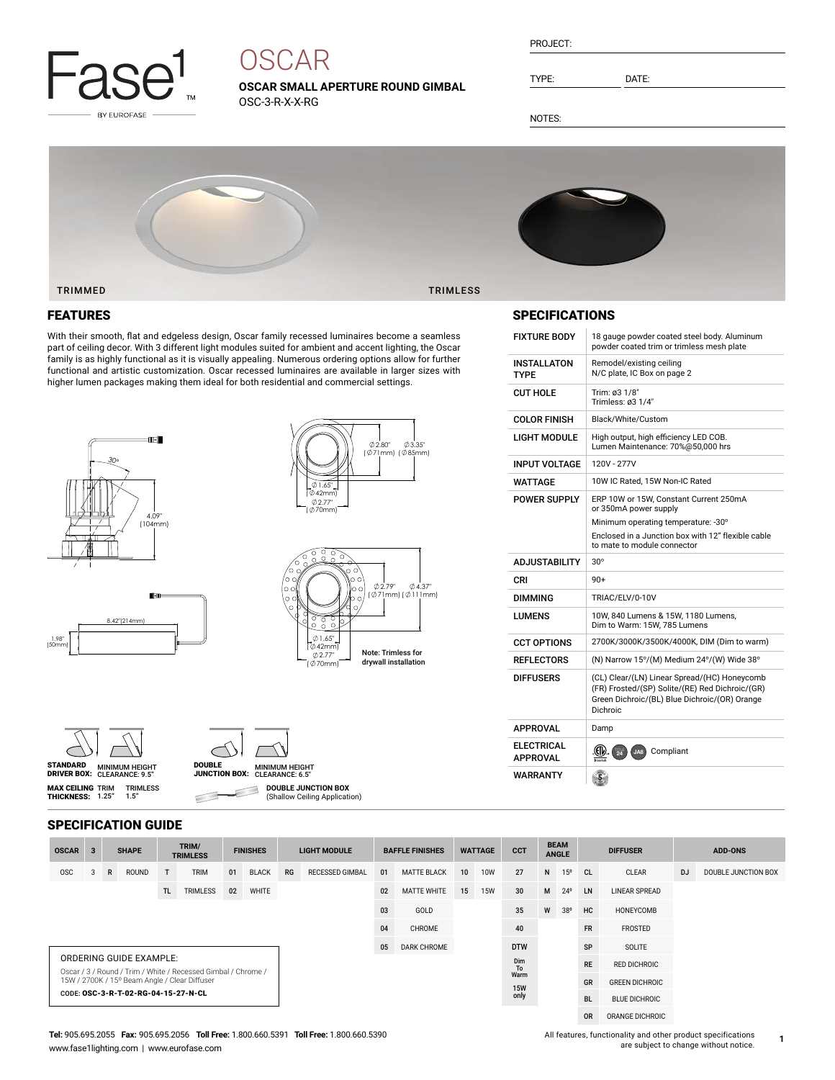

# **OSCAR**

**OSCAR SMALL APERTURE ROUND GIMBAL** OSC-3-R-X-X-RG

| PROJECT: |  |
|----------|--|
|          |  |

TYPE: DATE:

NOTES:



### FEATURES

With their smooth, flat and edgeless design, Oscar family recessed luminaires become a seamless part of ceiling decor. With 3 different light modules suited for ambient and accent lighting, the Oscar family is as highly functional as it is visually appealing. Numerous ordering options allow for further functional and artistic customization. Oscar recessed luminaires are available in larger sizes with higher lumen packages making them ideal for both residential and commercial settings.





Note: Trimless for drywall installation | 01.65"<br>( 042mm) 2.77" ( 70mm)

| STANDARD           | <b>MINIMUM HEIGHT</b> |
|--------------------|-----------------------|
| <b>DRIVER BOX:</b> | CLEARANCE: 9.5"       |

**MAX CEILING** TRIM<br>**THICKNESS:** 1.25"

 $(5)$ 



 $\subset$ 

DRIVER BOX: MINIMUM HEIGHT CLEARANCE: 6.5" DOUBLE JUNCTION BOX: **DOUBLE JUNCTION BOX** ₿

(Shallow Ceiling Application)

### SPECIFICATIONS

| <b>FIXTURE BODY</b>                  | 18 gauge powder coated steel body. Aluminum<br>powder coated trim or trimless mesh plate                                                                     |
|--------------------------------------|--------------------------------------------------------------------------------------------------------------------------------------------------------------|
| INSTALLATON<br><b>TYPF</b>           | Remodel/existing ceiling<br>N/C plate, IC Box on page 2                                                                                                      |
| <b>CUT HOLE</b>                      | Trim: ø3 1/8"<br>Trimless: ø3 1/4"                                                                                                                           |
| <b>COLOR FINISH</b>                  | Black/White/Custom                                                                                                                                           |
| LIGHT MODULE                         | High output, high efficiency LED COB.<br>Lumen Maintenance: 70%@50,000 hrs                                                                                   |
| <b>INPUT VOLTAGE</b>                 | 120V - 277V                                                                                                                                                  |
| WATTAGF                              | 10W IC Rated, 15W Non-IC Rated                                                                                                                               |
| <b>POWER SUPPLY</b>                  | ERP 10W or 15W, Constant Current 250mA<br>or 350mA power supply                                                                                              |
|                                      | Minimum operating temperature: -30°                                                                                                                          |
|                                      | Enclosed in a Junction box with 12" flexible cable<br>to mate to module connector                                                                            |
|                                      |                                                                                                                                                              |
| <b>ADJUSTABILITY</b>                 | $30^\circ$                                                                                                                                                   |
| CRI                                  | $90+$                                                                                                                                                        |
| <b>DIMMING</b>                       | TRIAC/ELV/0-10V                                                                                                                                              |
| LUMENS                               | 10W, 840 Lumens & 15W, 1180 Lumens,<br>Dim to Warm: 15W, 785 Lumens                                                                                          |
| <b>CCT OPTIONS</b>                   | 2700K/3000K/3500K/4000K, DIM (Dim to warm)                                                                                                                   |
| <b>REFLECTORS</b>                    | (N) Narrow 15°/(M) Medium 24°/(W) Wide 38°                                                                                                                   |
| <b>DIFFUSERS</b>                     | (CL) Clear/(LN) Linear Spread/(HC) Honeycomb<br>(FR) Frosted/(SP) Solite/(RE) Red Dichroic/(GR)<br>Green Dichroic/(BL) Blue Dichroic/(OR) Orange<br>Dichroic |
| <b>APPROVAL</b>                      | Damp                                                                                                                                                         |
| <b>ELECTRICAL</b><br><b>APPROVAL</b> | Compliant<br>JA8<br>$\frac{1}{24}$                                                                                                                           |

|  | <b>SPECIFICATION GUIDE</b> |  |  |
|--|----------------------------|--|--|
|--|----------------------------|--|--|

TRIMLESS 1.5"

| <b>OSCAR</b>                                                                                                   | 3 |   | <b>SHAPE</b>            |     | TRIM/<br><b>TRIMLESS</b> |    | <b>FINISHES</b>    |    | <b>LIGHT MODULE</b>    |    | <b>BAFFLE FINISHES</b> |           | <b>WATTAGE</b>       | <b>CCT</b> |                       | <b>BEAM</b><br><b>ANGLE</b> |               | <b>DIFFUSER</b>      |           | <b>ADD-ONS</b>      |  |
|----------------------------------------------------------------------------------------------------------------|---|---|-------------------------|-----|--------------------------|----|--------------------|----|------------------------|----|------------------------|-----------|----------------------|------------|-----------------------|-----------------------------|---------------|----------------------|-----------|---------------------|--|
| <b>OSC</b>                                                                                                     |   | R | ROUND                   | T.  | <b>TRIM</b>              | 01 | <b>BLACK</b>       | RG | <b>RECESSED GIMBAL</b> | 01 | <b>MATTE BLACK</b>     | 10        | <b>10W</b>           | 27         | N                     | 15 <sup>o</sup>             | <sub>CL</sub> | CLEAR                | <b>DJ</b> | DOUBLE JUNCTION BOX |  |
|                                                                                                                |   |   |                         | TL. | <b>TRIMLESS</b>          | 02 | WHITE              |    |                        | 02 | <b>MATTE WHITE</b>     | 15        | <b>15W</b>           | 30         | M                     | $24^{\circ}$                | LN            | <b>LINEAR SPREAD</b> |           |                     |  |
|                                                                                                                |   |   |                         |     |                          |    |                    |    |                        | 03 | GOLD                   |           |                      | 35         | W                     | $38^{\circ}$                | HC            | HONEYCOMB            |           |                     |  |
|                                                                                                                |   |   |                         |     | 04<br>40<br>CHROME       |    |                    |    |                        |    | <b>FR</b>              | FROSTED   |                      |            |                       |                             |               |                      |           |                     |  |
|                                                                                                                |   |   |                         |     |                          | 05 | <b>DARK CHROME</b> |    | <b>DTW</b>             |    |                        | SP        | SOLITE               |            |                       |                             |               |                      |           |                     |  |
|                                                                                                                |   |   | ORDERING GUIDE EXAMPLE: |     |                          |    |                    |    |                        |    |                        |           |                      | Dim<br>To  |                       |                             | <b>RE</b>     | <b>RED DICHROIC</b>  |           |                     |  |
| Oscar / 3 / Round / Trim / White / Recessed Gimbal / Chrome /<br>15W / 2700K / 15° Beam Angle / Clear Diffuser |   |   |                         |     |                          |    |                    |    |                        |    | Warm<br><b>15W</b>     |           |                      | GR         | <b>GREEN DICHROIC</b> |                             |               |                      |           |                     |  |
| CODE: OSC-3-R-T-02-RG-04-15-27-N-CL                                                                            |   |   |                         |     |                          |    |                    |    | only                   |    |                        | <b>BL</b> | <b>BLUE DICHROIC</b> |            |                       |                             |               |                      |           |                     |  |
|                                                                                                                |   |   |                         |     |                          |    |                    |    |                        |    |                        |           |                      |            |                       |                             | <b>OR</b>     | ORANGE DICHROIC      |           |                     |  |

#### **Tel:** 905.695.2055 **Fax:** 905.695.2056 **Toll Free:** 1.800.660.5391 **Toll Free:** 1.800.660.5390 www.fase1lighting.com | www.eurofase.com

All features, functionality and other product specifications are subject to change without notice.

**1**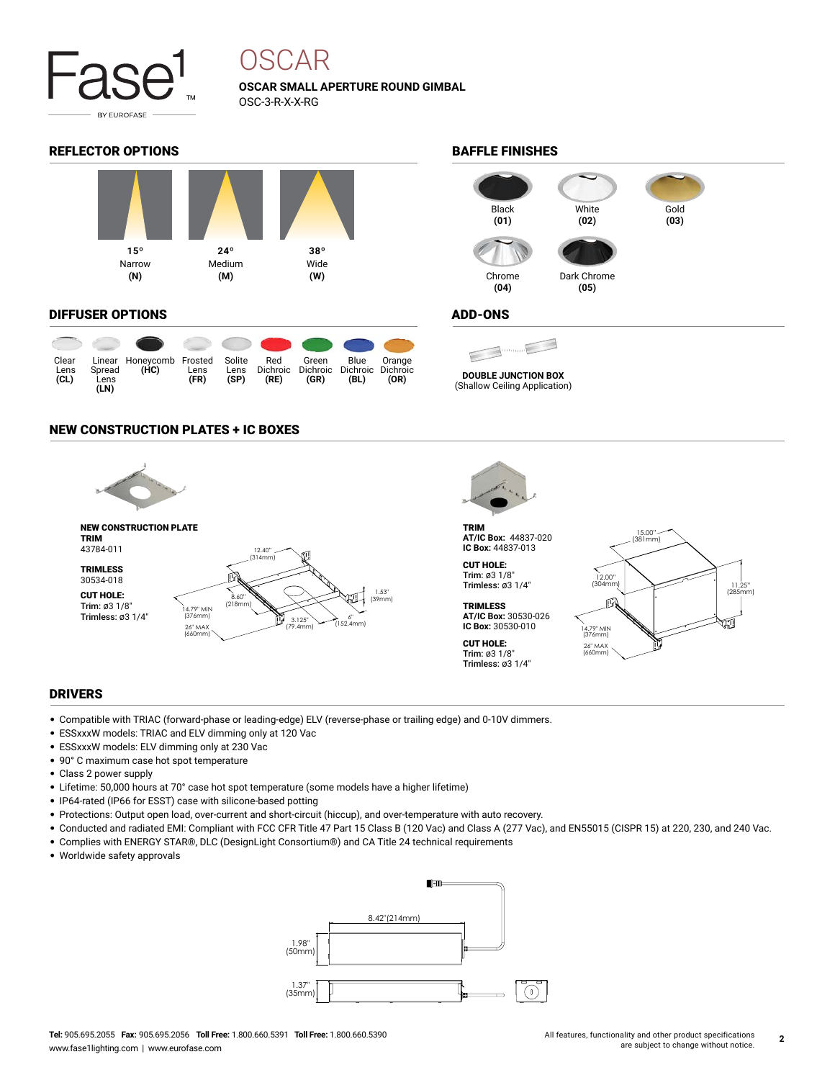

## OSCAR

**OSCAR SMALL APERTURE ROUND GIMBAL** OSC-3-R-X-X-RG

### REFLECTOR OPTIONS **BAFFLE FINISHES**



#### DIFFUSER OPTIONS

|                      |                        |                                  |              |                        |             | $\bullet$ $\bullet$ $\bullet$ $\bullet$              |              |                |
|----------------------|------------------------|----------------------------------|--------------|------------------------|-------------|------------------------------------------------------|--------------|----------------|
| Clear<br>Lens<br>CL) | Spread<br>Lens<br>(LN) | Linear Honeycomb Frosted<br>(HC) | Lens<br>(FR) | Solite<br>Lens<br>(SP) | Red<br>(RE) | Green<br>Dichroic Dichroic Dichroic Dichroic<br>(GR) | Blue<br>(BL) | Orange<br>(OR) |

### NEW CONSTRUCTION PLATES + IC BOXES



#### DRIVERS

- Compatible with TRIAC (forward-phase or leading-edge) ELV (reverse-phase or trailing edge) and 0-10V dimmers.
- ESSxxxW models: TRIAC and ELV dimming only at 120 Vac
- ESSxxxW models: ELV dimming only at 230 Vac
- 90° C maximum case hot spot temperature
- Class 2 power supply
- Lifetime: 50,000 hours at 70° case hot spot temperature (some models have a higher lifetime)
- IP64-rated (IP66 for ESST) case with silicone-based potting
- Protections: Output open load, over-current and short-circuit (hiccup), and over-temperature with auto recovery.
- Conducted and radiated EMI: Compliant with FCC CFR Title 47 Part 15 Class B (120 Vac) and Class A (277 Vac), and EN55015 (CISPR 15) at 220, 230, and 240 Vac.
- Complies with ENERGY STAR®, DLC (DesignLight Consortium®) and CA Title 24 technical requirements
- Worldwide safety approvals





#### ADD-ONS

**DOUBLE JUNCTION BOX**

(Shallow Ceiling Application)